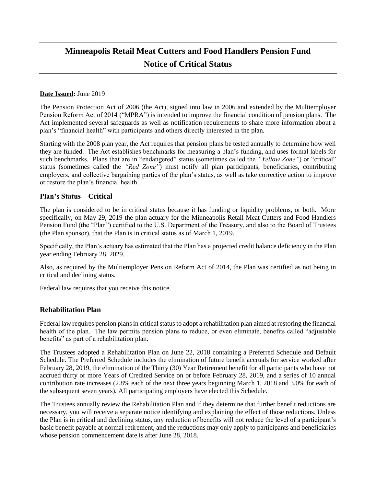# **Minneapolis Retail Meat Cutters and Food Handlers Pension Fund Notice of Critical Status**

## **Date Issued:** June 2019

The Pension Protection Act of 2006 (the Act), signed into law in 2006 and extended by the Multiemployer Pension Reform Act of 2014 ("MPRA") is intended to improve the financial condition of pension plans. The Act implemented several safeguards as well as notification requirements to share more information about a plan's "financial health" with participants and others directly interested in the plan.

Starting with the 2008 plan year, the Act requires that pension plans be tested annually to determine how well they are funded. The Act establishes benchmarks for measuring a plan's funding, and uses formal labels for such benchmarks. Plans that are in "endangered" status (sometimes called the *"Yellow Zone"*) or "critical" status (sometimes called the *"Red Zone"*) must notify all plan participants, beneficiaries, contributing employers, and collective bargaining parties of the plan's status, as well as take corrective action to improve or restore the plan's financial health.

## **Plan's Status – Critical**

The plan is considered to be in critical status because it has funding or liquidity problems, or both. More specifically, on May 29, 2019 the plan actuary for the Minneapolis Retail Meat Cutters and Food Handlers Pension Fund (the "Plan") certified to the U.S. Department of the Treasury, and also to the Board of Trustees (the Plan sponsor), that the Plan is in critical status as of March 1, 2019.

Specifically, the Plan's actuary has estimated that the Plan has a projected credit balance deficiency in the Plan year ending February 28, 2029.

Also, as required by the Multiemployer Pension Reform Act of 2014, the Plan was certified as not being in critical and declining status.

Federal law requires that you receive this notice.

## **Rehabilitation Plan**

Federal law requires pension plans in critical status to adopt a rehabilitation plan aimed at restoring the financial health of the plan. The law permits pension plans to reduce, or even eliminate, benefits called "adjustable benefits" as part of a rehabilitation plan.

The Trustees adopted a Rehabilitation Plan on June 22, 2018 containing a Preferred Schedule and Default Schedule. The Preferred Schedule includes the elimination of future benefit accruals for service worked after February 28, 2019, the elimination of the Thirty (30) Year Retirement benefit for all participants who have not accrued thirty or more Years of Credited Service on or before February 28, 2019, and a series of 10 annual contribution rate increases (2.8% each of the next three years beginning March 1, 2018 and 3.0% for each of the subsequent seven years). All participating employers have elected this Schedule.

The Trustees annually review the Rehabilitation Plan and if they determine that further benefit reductions are necessary, you will receive a separate notice identifying and explaining the effect of those reductions. Unless the Plan is in critical and declining status, any reduction of benefits will not reduce the level of a participant's basic benefit payable at normal retirement, and the reductions may only apply to participants and beneficiaries whose pension commencement date is after June 28, 2018.